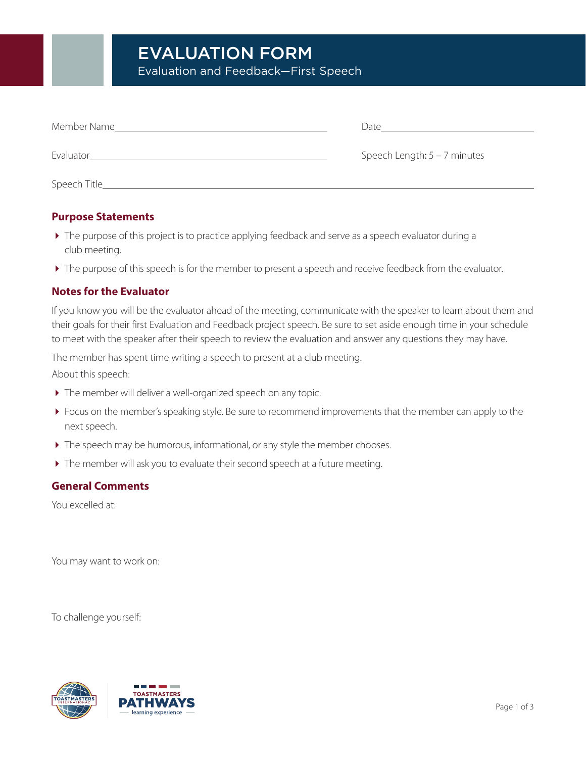| Member Name   | Date                           |
|---------------|--------------------------------|
| Evaluator     | Speech Length: $5 - 7$ minutes |
| Speech Title_ |                                |

# **Purpose Statements**

- The purpose of this project is to practice applying feedback and serve as a speech evaluator during a club meeting.
- The purpose of this speech is for the member to present a speech and receive feedback from the evaluator.

# **Notes for the Evaluator**

If you know you will be the evaluator ahead of the meeting, communicate with the speaker to learn about them and their goals for their first Evaluation and Feedback project speech. Be sure to set aside enough time in your schedule to meet with the speaker after their speech to review the evaluation and answer any questions they may have.

The member has spent time writing a speech to present at a club meeting.

About this speech:

- The member will deliver a well-organized speech on any topic.
- Focus on the member's speaking style. Be sure to recommend improvements that the member can apply to the next speech.
- The speech may be humorous, informational, or any style the member chooses.
- The member will ask you to evaluate their second speech at a future meeting.

## **General Comments**

You excelled at:

You may want to work on:

To challenge yourself:



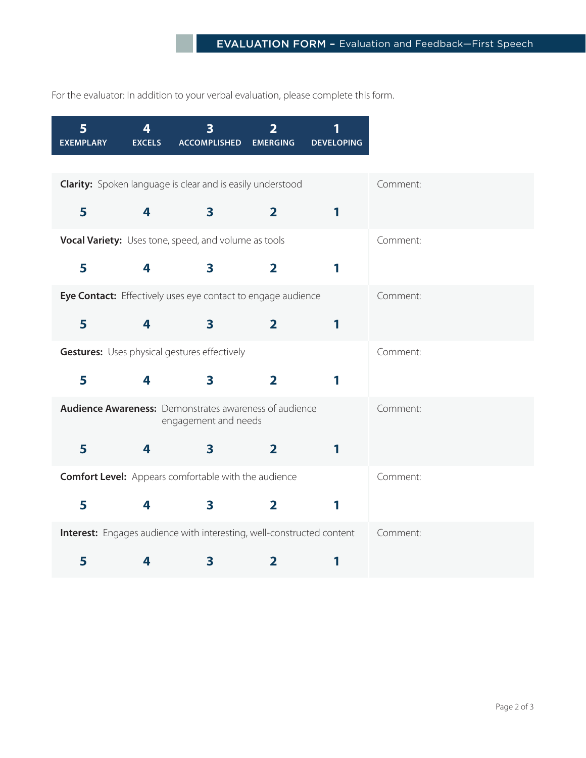For the evaluator: In addition to your verbal evaluation, please complete this form.

| 5<br><b>EXEMPLARY</b> | 4<br><b>EXCELS</b> | <b>ACCOMPLISHED</b>                                                                   | $\overline{\mathbf{2}}$<br><b>EMERGING</b> | <b>DEVELOPING</b> |          |
|-----------------------|--------------------|---------------------------------------------------------------------------------------|--------------------------------------------|-------------------|----------|
|                       |                    |                                                                                       |                                            |                   |          |
|                       |                    | <b>Clarity:</b> Spoken language is clear and is easily understood                     |                                            |                   | Comment: |
| 5                     | 4                  | $\mathbf{3}$                                                                          | $\overline{2}$                             | 1                 |          |
|                       |                    | Vocal Variety: Uses tone, speed, and volume as tools                                  |                                            |                   | Comment: |
|                       |                    |                                                                                       |                                            |                   |          |
| 5                     | 4                  | $\overline{\mathbf{3}}$                                                               | $\overline{\mathbf{2}}$                    | 1                 |          |
|                       |                    | Eye Contact: Effectively uses eye contact to engage audience                          |                                            |                   | Comment: |
| 5                     | 4                  | $\mathbf{3}$                                                                          | $\overline{2}$                             | 1                 |          |
|                       |                    |                                                                                       |                                            |                   |          |
|                       |                    | <b>Gestures:</b> Uses physical gestures effectively                                   |                                            |                   | Comment: |
| 5                     | 4                  | 3                                                                                     | $\overline{\mathbf{2}}$                    | 1                 |          |
|                       |                    |                                                                                       |                                            |                   |          |
|                       |                    | <b>Audience Awareness:</b> Demonstrates awareness of audience<br>engagement and needs |                                            |                   | Comment: |
|                       | 4                  | $\overline{\mathbf{3}}$                                                               |                                            |                   |          |
| 5                     |                    |                                                                                       | $\overline{\mathbf{2}}$                    | 1                 |          |
|                       |                    | <b>Comfort Level:</b> Appears comfortable with the audience                           |                                            |                   | Comment: |
| 5                     | 4                  | $\overline{\mathbf{3}}$                                                               | $\overline{\mathbf{2}}$                    | 1                 |          |
|                       |                    |                                                                                       |                                            |                   |          |
|                       |                    | Interest: Engages audience with interesting, well-constructed content                 |                                            |                   | Comment: |
| 5                     | 4                  | 3                                                                                     | 2                                          | 1                 |          |